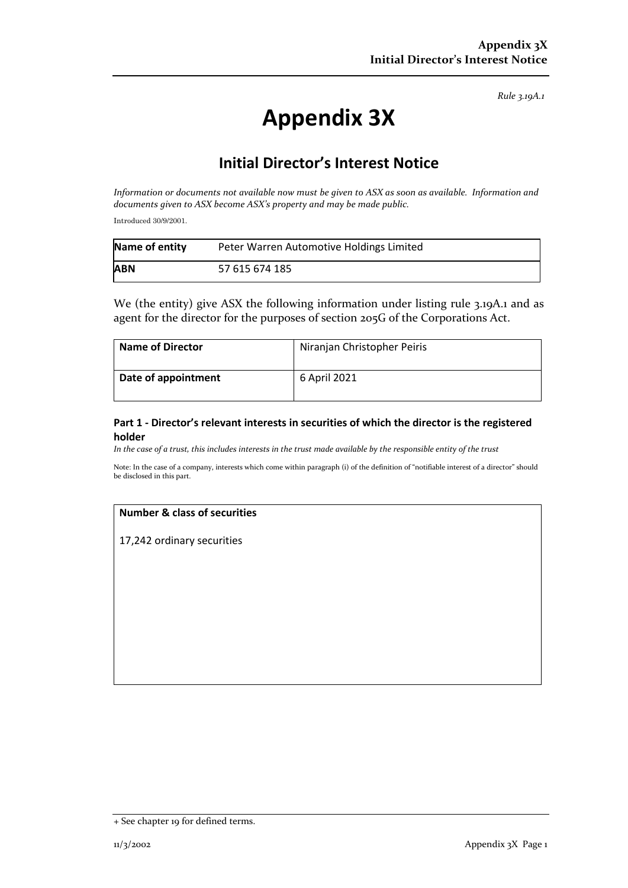*Rule 3.19A.1*

# **Appendix 3X**

# **Initial Director's Interest Notice**

*Information or documents not available now must be given to ASX as soon as available. Information and documents given to ASX become ASX's property and may be made public.*

Introduced 30/9/2001.

| Name of entity | Peter Warren Automotive Holdings Limited |
|----------------|------------------------------------------|
| <b>ABN</b>     | 57 615 674 185                           |

We (the entity) give ASX the following information under listing rule 3.19A.1 and as agent for the director for the purposes of section 205G of the Corporations Act.

| <b>Name of Director</b> | Niranjan Christopher Peiris |
|-------------------------|-----------------------------|
| Date of appointment     | 6 April 2021                |

## **Part 1 - Director's relevant interests in securities of which the director is the registered holder**

*In the case of a trust, this includes interests in the trust made available by the responsible entity of the trust*

Note: In the case of a company, interests which come within paragraph (i) of the definition of "notifiable interest of a director" should be disclosed in this part.

#### **Number & class of securities**

17,242 ordinary securities

<sup>+</sup> See chapter 19 for defined terms.